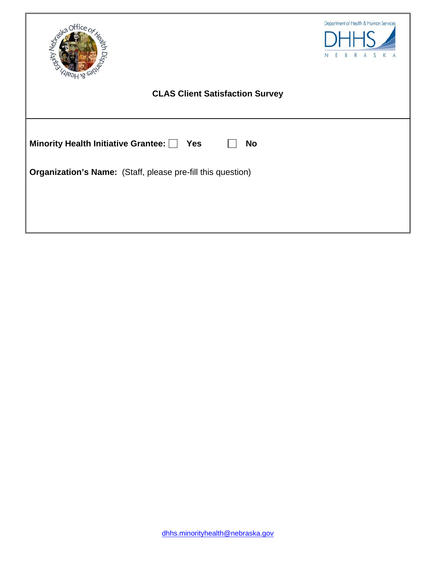| itty Neg                                                    | Department of Health & Human Services |
|-------------------------------------------------------------|---------------------------------------|
| <b>CLAS Client Satisfaction Survey</b>                      |                                       |
|                                                             |                                       |
| Minority Health Initiative Grantee: Ves<br><b>No</b>        |                                       |
| Organization's Name: (Staff, please pre-fill this question) |                                       |
|                                                             |                                       |
|                                                             |                                       |
|                                                             |                                       |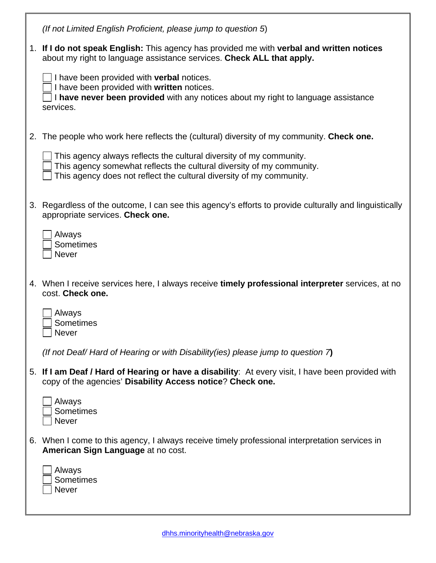|    | (If not Limited English Proficient, please jump to question 5)                                                                                                                                                       |
|----|----------------------------------------------------------------------------------------------------------------------------------------------------------------------------------------------------------------------|
|    | 1. If I do not speak English: This agency has provided me with verbal and written notices<br>about my right to language assistance services. Check ALL that apply.                                                   |
|    | I have been provided with verbal notices.<br>I have been provided with written notices.<br>I have never been provided with any notices about my right to language assistance<br>services.                            |
| 2. | The people who work here reflects the (cultural) diversity of my community. Check one.                                                                                                                               |
|    | This agency always reflects the cultural diversity of my community.<br>This agency somewhat reflects the cultural diversity of my community.<br>This agency does not reflect the cultural diversity of my community. |
|    | 3. Regardless of the outcome, I can see this agency's efforts to provide culturally and linguistically<br>appropriate services. Check one.                                                                           |
|    | Always<br>Sometimes<br><b>Never</b>                                                                                                                                                                                  |
|    | 4. When I receive services here, I always receive timely professional interpreter services, at no<br>cost. Check one.                                                                                                |
|    | Always<br><b>Sometimes</b><br><b>Never</b>                                                                                                                                                                           |
|    | (If not Deaf/Hard of Hearing or with Disability (ies) please jump to question $7$ )                                                                                                                                  |
|    | 5. If I am Deaf / Hard of Hearing or have a disability: At every visit, I have been provided with<br>copy of the agencies' Disability Access notice? Check one.                                                      |
|    | Always<br>Sometimes<br>Never                                                                                                                                                                                         |
|    | 6. When I come to this agency, I always receive timely professional interpretation services in<br>American Sign Language at no cost.                                                                                 |
|    | Always<br><b>Sometimes</b><br>Never                                                                                                                                                                                  |

 $\overline{\phantom{a}}$